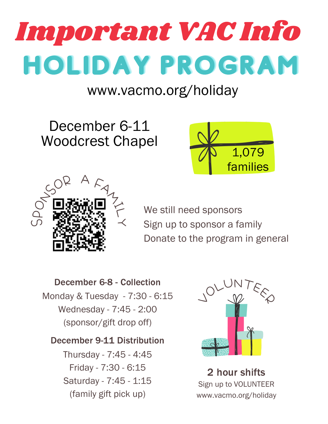

## www.vacmo.org/holiday

December 6-11 Woodcrest Chapel





We still need sponsors Sign up to sponsor a family Donate to the program in general

December 6-8 - Collection Monday & Tuesday - 7:30 - 6:15 Wednesday - 7:45 - 2:00 (sponsor/gift drop off)

## December 9-11 Distribution

Thursday - 7:45 - 4:45 Friday - 7:30 - 6:15 Saturday - 7:45 - 1:15 (family gift pick up)



Sign up to VOLUNTEER www.vacmo.org/holiday 2 hour shifts